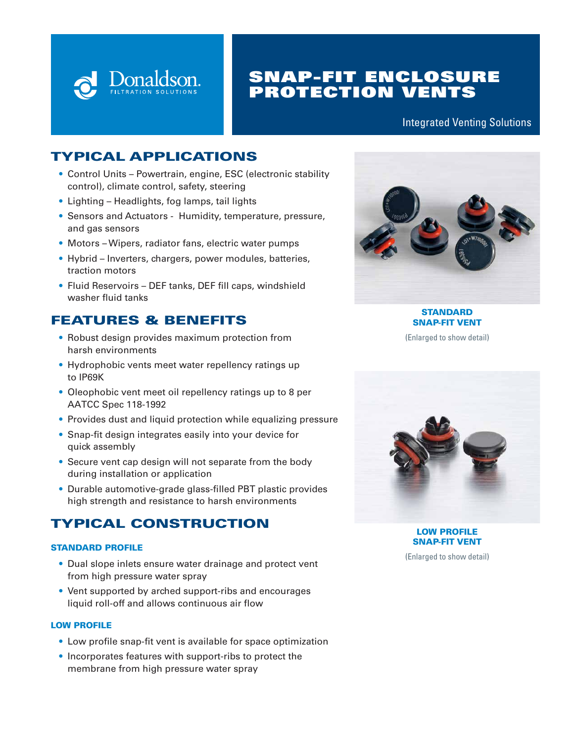

# SNAP-FIT ENCLOSURE PROTECTION VENTS

#### Integrated Venting Solutions

## TYPICAL APPLICATIONS

- Control Units Powertrain, engine, ESC (electronic stability control), climate control, safety, steering
- Lighting Headlights, fog lamps, tail lights
- Sensors and Actuators Humidity, temperature, pressure, and gas sensors
- Motors Wipers, radiator fans, electric water pumps
- Hybrid Inverters, chargers, power modules, batteries, traction motors
- Fluid Reservoirs DEF tanks, DEF fill caps, windshield washer fluid tanks

## FEATURES & BENEFITS

- Robust design provides maximum protection from harsh environments
- Hydrophobic vents meet water repellency ratings up to IP69K
- Oleophobic vent meet oil repellency ratings up to 8 per AATCC Spec 118-1992
- Provides dust and liquid protection while equalizing pressure
- Snap-fit design integrates easily into your device for quick assembly
- Secure vent cap design will not separate from the body during installation or application
- Durable automotive-grade glass-filled PBT plastic provides high strength and resistance to harsh environments

# TYPICAL CONSTRUCTION

#### STANDARD PROFILE

- Dual slope inlets ensure water drainage and protect vent from high pressure water spray
- Vent supported by arched support-ribs and encourages liquid roll-off and allows continuous air flow

#### LOW PROFILE

- Low profile snap-fit vent is available for space optimization
- Incorporates features with support-ribs to protect the membrane from high pressure water spray



**STANDARD** SNAP-FIT VENT (Enlarged to show detail)



LOW PROFILE SNAP-FIT VENT

(Enlarged to show detail)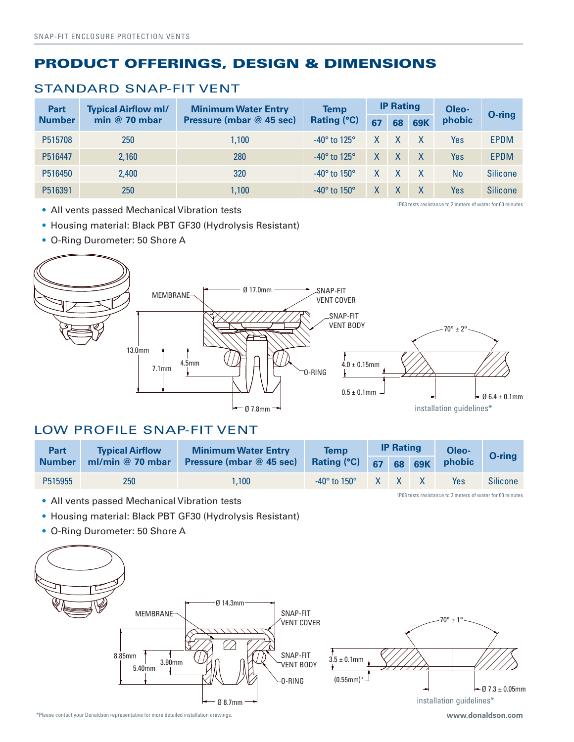# PRODUCT OFFERINGS, DESIGN & DIMENSIONS

#### STANDARD SNAP-FIT VENT

| Part<br><b>Number</b> | <b>Typical Airflow ml/</b><br>min $@$ 70 mbar | <b>Minimum Water Entry</b><br>Pressure (mbar @ 45 sec) | <b>Temp</b><br><b>Rating (°C)</b> | <b>IP Rating</b> |              |            | Oleo-     | O-ring          |
|-----------------------|-----------------------------------------------|--------------------------------------------------------|-----------------------------------|------------------|--------------|------------|-----------|-----------------|
|                       |                                               |                                                        |                                   | 67               | 68           | <b>69K</b> | phobic    |                 |
| P515708               | 250                                           | 1.100                                                  | $-40^\circ$ to 125 $^\circ$       | $\mathsf{X}$     | $- X$        |            | Yes       | EPDM            |
| P516447               | 2,160                                         | 280                                                    | $-40^{\circ}$ to 125 $^{\circ}$   | $\mathsf{X}$     | $\mathsf{X}$ |            | Yes       | <b>EPDM</b>     |
| P516450               | 2,400                                         | 320                                                    | $-40^{\circ}$ to $150^{\circ}$    | X                | $\mathsf{X}$ |            | <b>No</b> | <b>Silicone</b> |
| P516391               | 250                                           | 1,100                                                  | $-40^{\circ}$ to $150^{\circ}$    | X                |              |            | Yes       | <b>Silicone</b> |

• All vents passed Mechanical Vibration tests

IP68 tests resistance to 2 meters of water for 60 minutes

IP68 tests resistance to 2 meters of water for 60 minutes

- Housing material: Black PBT GF30 (Hydrolysis Resistant)
- O-Ring Durometer: 50 Shore A



### LOW PROFILE SNAP-FIT VENT

| Part          | <b>Typical Airflow</b> | <b>Minimum Water Entry</b>      | <b>Temp</b>                    | <b>IP Rating</b> |              |        | Oleo-  | O-ring          |
|---------------|------------------------|---------------------------------|--------------------------------|------------------|--------------|--------|--------|-----------------|
| <b>Number</b> | ml/min $@$ 70 mbar     | <b>Pressure (mbar @ 45 sec)</b> | <b>Rating (°C)</b>             | 67               |              | 68 69K | phobic |                 |
| P515955       | 250                    | 1.100                           | $-40^{\circ}$ to $150^{\circ}$ | X                | $\mathsf{X}$ |        | Yes    | <b>Silicone</b> |

- All vents passed Mechanical Vibration tests
- Housing material: Black PBT GF30 (Hydrolysis Resistant)
- O-Ring Durometer: 50 Shore A